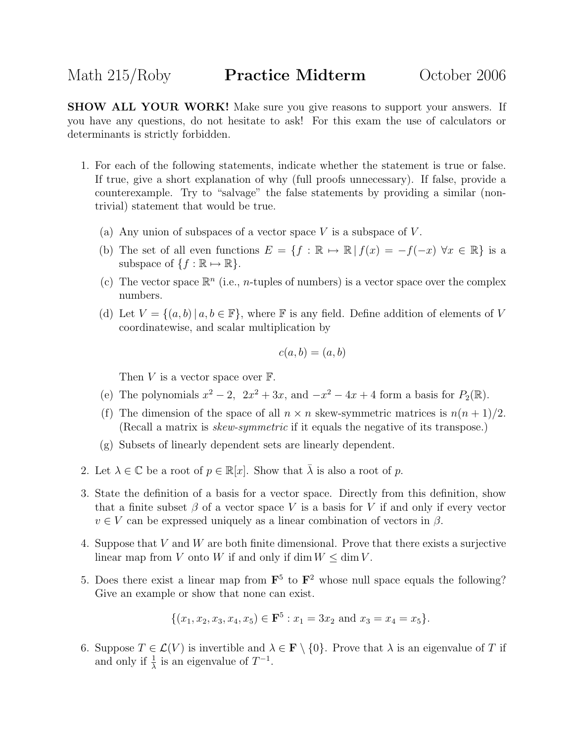SHOW ALL YOUR WORK! Make sure you give reasons to support your answers. If you have any questions, do not hesitate to ask! For this exam the use of calculators or determinants is strictly forbidden.

- 1. For each of the following statements, indicate whether the statement is true or false. If true, give a short explanation of why (full proofs unnecessary). If false, provide a counterexample. Try to "salvage" the false statements by providing a similar (nontrivial) statement that would be true.
	- (a) Any union of subspaces of a vector space V is a subspace of V.
	- (b) The set of all even functions  $E = \{f : \mathbb{R} \mapsto \mathbb{R} | f(x) = -f(-x) \,\forall x \in \mathbb{R} \}$  is a subspace of  $\{f : \mathbb{R} \mapsto \mathbb{R}\}.$
	- (c) The vector space  $\mathbb{R}^n$  (i.e., *n*-tuples of numbers) is a vector space over the complex numbers.
	- (d) Let  $V = \{(a, b) | a, b \in \mathbb{F}\}\,$ , where  $\mathbb F$  is any field. Define addition of elements of V coordinatewise, and scalar multiplication by

$$
c(a,b) = (a,b)
$$

Then  $V$  is a vector space over  $\mathbb{F}$ .

- (e) The polynomials  $x^2 2$ ,  $2x^2 + 3x$ , and  $-x^2 4x + 4$  form a basis for  $P_2(\mathbb{R})$ .
- (f) The dimension of the space of all  $n \times n$  skew-symmetric matrices is  $n(n+1)/2$ . (Recall a matrix is skew-symmetric if it equals the negative of its transpose.)
- (g) Subsets of linearly dependent sets are linearly dependent.
- 2. Let  $\lambda \in \mathbb{C}$  be a root of  $p \in \mathbb{R}[x]$ . Show that  $\overline{\lambda}$  is also a root of p.
- 3. State the definition of a basis for a vector space. Directly from this definition, show that a finite subset  $\beta$  of a vector space V is a basis for V if and only if every vector  $v \in V$  can be expressed uniquely as a linear combination of vectors in  $\beta$ .
- 4. Suppose that V and W are both finite dimensional. Prove that there exists a surjective linear map from V onto W if and only if dim  $W \leq \dim V$ .
- 5. Does there exist a linear map from  $\mathbf{F}^5$  to  $\mathbf{F}^2$  whose null space equals the following? Give an example or show that none can exist.

$$
\{(x_1, x_2, x_3, x_4, x_5) \in \mathbf{F}^5 : x_1 = 3x_2 \text{ and } x_3 = x_4 = x_5\}.
$$

6. Suppose  $T \in \mathcal{L}(V)$  is invertible and  $\lambda \in \mathbf{F} \setminus \{0\}$ . Prove that  $\lambda$  is an eigenvalue of T if and only if  $\frac{1}{\lambda}$  is an eigenvalue of  $T^{-1}$ .